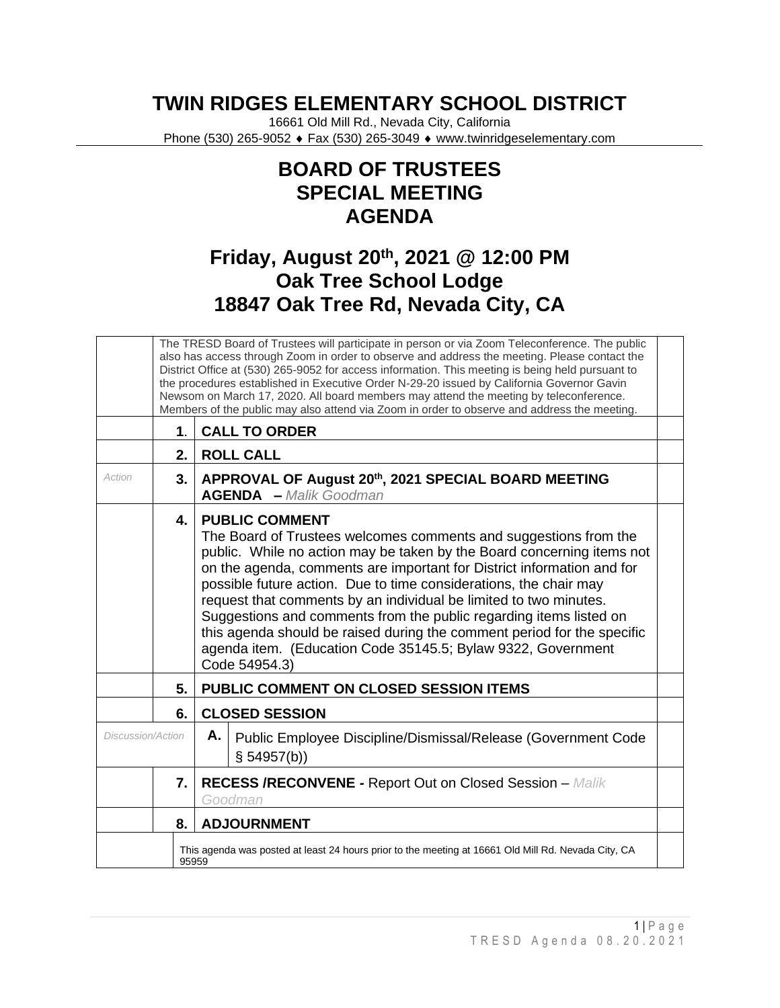## **TWIN RIDGES ELEMENTARY SCHOOL DISTRICT**

16661 Old Mill Rd., Nevada City, California Phone (530) 265-9052 ♦ Fax (530) 265-3049 ♦ www.twinridgeselementary.com

## **BOARD OF TRUSTEES SPECIAL MEETING AGENDA**

## **Friday, August 20th, 2021 @ 12:00 PM Oak Tree School Lodge 18847 Oak Tree Rd, Nevada City, CA**

|                          |       | The TRESD Board of Trustees will participate in person or via Zoom Teleconference. The public<br>also has access through Zoom in order to observe and address the meeting. Please contact the<br>District Office at (530) 265-9052 for access information. This meeting is being held pursuant to<br>the procedures established in Executive Order N-29-20 issued by California Governor Gavin<br>Newsom on March 17, 2020. All board members may attend the meeting by teleconference.<br>Members of the public may also attend via Zoom in order to observe and address the meeting.                                    |
|--------------------------|-------|---------------------------------------------------------------------------------------------------------------------------------------------------------------------------------------------------------------------------------------------------------------------------------------------------------------------------------------------------------------------------------------------------------------------------------------------------------------------------------------------------------------------------------------------------------------------------------------------------------------------------|
|                          | 1.    | <b>CALL TO ORDER</b>                                                                                                                                                                                                                                                                                                                                                                                                                                                                                                                                                                                                      |
|                          | 2.    | <b>ROLL CALL</b>                                                                                                                                                                                                                                                                                                                                                                                                                                                                                                                                                                                                          |
| Action                   | 3.    | APPROVAL OF August 20th, 2021 SPECIAL BOARD MEETING<br><b>AGENDA</b> - Malik Goodman                                                                                                                                                                                                                                                                                                                                                                                                                                                                                                                                      |
|                          | 4.    | <b>PUBLIC COMMENT</b><br>The Board of Trustees welcomes comments and suggestions from the<br>public. While no action may be taken by the Board concerning items not<br>on the agenda, comments are important for District information and for<br>possible future action. Due to time considerations, the chair may<br>request that comments by an individual be limited to two minutes.<br>Suggestions and comments from the public regarding items listed on<br>this agenda should be raised during the comment period for the specific<br>agenda item. (Education Code 35145.5; Bylaw 9322, Government<br>Code 54954.3) |
|                          | 5.    | PUBLIC COMMENT ON CLOSED SESSION ITEMS                                                                                                                                                                                                                                                                                                                                                                                                                                                                                                                                                                                    |
|                          | 6.    | <b>CLOSED SESSION</b>                                                                                                                                                                                                                                                                                                                                                                                                                                                                                                                                                                                                     |
| <b>Discussion/Action</b> |       | Α.<br>Public Employee Discipline/Dismissal/Release (Government Code<br>§ 54957(b))                                                                                                                                                                                                                                                                                                                                                                                                                                                                                                                                        |
|                          | 7.    | <b>RECESS /RECONVENE - Report Out on Closed Session - Malik</b><br>Goodman                                                                                                                                                                                                                                                                                                                                                                                                                                                                                                                                                |
|                          | 8.    | <b>ADJOURNMENT</b>                                                                                                                                                                                                                                                                                                                                                                                                                                                                                                                                                                                                        |
|                          | 95959 | This agenda was posted at least 24 hours prior to the meeting at 16661 Old Mill Rd. Nevada City, CA                                                                                                                                                                                                                                                                                                                                                                                                                                                                                                                       |